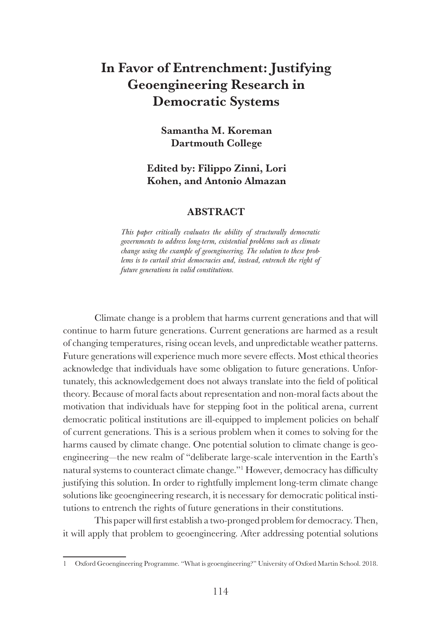# In Favor of Entrenchment: Justifying Geoengineering Research in Democratic Systems

Samantha M. Koreman Dartmouth College

## Edited by: Filippo Zinni, Lori Kohen, and Antonio Almazan

#### ABSTRACT

*This paper critically evaluates the ability of structurally democratic governments to address long-term, existential problems such as climate change using the example of geoengineering. The solution to these prob*lems is to curtail strict democracies and, instead, entrench the right of *future generations in valid constitutions.*

Climate change is a problem that harms current generations and that will continue to harm future generations. Current generations are harmed as a result of changing temperatures, rising ocean levels, and unpredictable weather patterns. Future generations will experience much more severe effects. Most ethical theories acknowledge that individuals have some obligation to future generations. Unfortunately, this acknowledgement does not always translate into the field of political theory. Because of moral facts about representation and non-moral facts about the motivation that individuals have for stepping foot in the political arena, current democratic political institutions are ill-equipped to implement policies on behalf of current generations. This is a serious problem when it comes to solving for the harms caused by climate change. One potential solution to climate change is geoengineering—the new realm of "deliberate large-scale intervention in the Earth's natural systems to counteract climate change."1 However, democracy has difficulty justifying this solution. In order to rightfully implement long-term climate change solutions like geoengineering research, it is necessary for democratic political institutions to entrench the rights of future generations in their constitutions.

This paper will first establish a two-pronged problem for democracy. Then, it will apply that problem to geoengineering. After addressing potential solutions

<sup>1</sup> Oxford Geoengineering Programme. "What is geoengineering?" University of Oxford Martin School. 2018.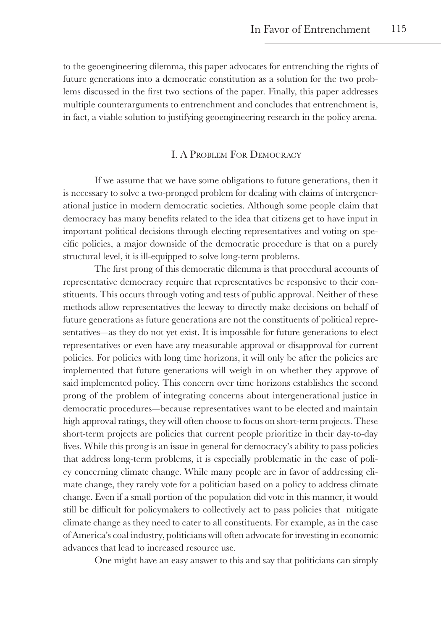to the geoengineering dilemma, this paper advocates for entrenching the rights of future generations into a democratic constitution as a solution for the two problems discussed in the first two sections of the paper. Finally, this paper addresses multiple counterarguments to entrenchment and concludes that entrenchment is, in fact, a viable solution to justifying geoengineering research in the policy arena.

### I. A Problem For Democracy

If we assume that we have some obligations to future generations, then it is necessary to solve a two-pronged problem for dealing with claims of intergenerational justice in modern democratic societies. Although some people claim that democracy has many benefits related to the idea that citizens get to have input in important political decisions through electing representatives and voting on specific policies, a major downside of the democratic procedure is that on a purely structural level, it is ill-equipped to solve long-term problems.

The first prong of this democratic dilemma is that procedural accounts of representative democracy require that representatives be responsive to their constituents. This occurs through voting and tests of public approval. Neither of these methods allow representatives the leeway to directly make decisions on behalf of future generations as future generations are not the constituents of political representatives—as they do not yet exist. It is impossible for future generations to elect representatives or even have any measurable approval or disapproval for current policies. For policies with long time horizons, it will only be after the policies are implemented that future generations will weigh in on whether they approve of said implemented policy. This concern over time horizons establishes the second prong of the problem of integrating concerns about intergenerational justice in democratic procedures—because representatives want to be elected and maintain high approval ratings, they will often choose to focus on short-term projects. These short-term projects are policies that current people prioritize in their day-to-day lives. While this prong is an issue in general for democracy's ability to pass policies that address long-term problems, it is especially problematic in the case of policy concerning climate change. While many people are in favor of addressing climate change, they rarely vote for a politician based on a policy to address climate change. Even if a small portion of the population did vote in this manner, it would still be difficult for policymakers to collectively act to pass policies that mitigate climate change as they need to cater to all constituents. For example, as in the case of America's coal industry, politicians will often advocate for investing in economic advances that lead to increased resource use.

One might have an easy answer to this and say that politicians can simply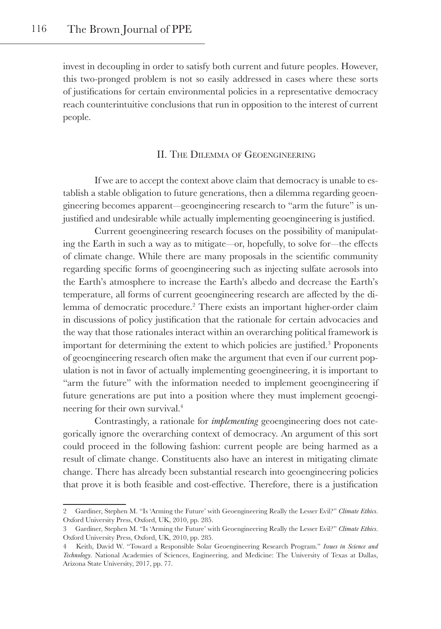invest in decoupling in order to satisfy both current and future peoples. However, this two-pronged problem is not so easily addressed in cases where these sorts of justifications for certain environmental policies in a representative democracy reach counterintuitive conclusions that run in opposition to the interest of current people.

### II. The Dilemma of Geoengineering

If we are to accept the context above claim that democracy is unable to establish a stable obligation to future generations, then a dilemma regarding geoengineering becomes apparent—geoengineering research to "arm the future" is unjustified and undesirable while actually implementing geoengineering is justified.

Current geoengineering research focuses on the possibility of manipulating the Earth in such a way as to mitigate—or, hopefully, to solve for—the effects of climate change. While there are many proposals in the scientific community regarding specific forms of geoengineering such as injecting sulfate aerosols into the Earth's atmosphere to increase the Earth's albedo and decrease the Earth's temperature, all forms of current geoengineering research are affected by the dilemma of democratic procedure.<sup>2</sup> There exists an important higher-order claim in discussions of policy justification that the rationale for certain advocacies and the way that those rationales interact within an overarching political framework is important for determining the extent to which policies are justified.<sup>3</sup> Proponents of geoengineering research often make the argument that even if our current population is not in favor of actually implementing geoengineering, it is important to "arm the future" with the information needed to implement geoengineering if future generations are put into a position where they must implement geoengineering for their own survival.4

Contrastingly, a rationale for *implementing* geoengineering does not categorically ignore the overarching context of democracy. An argument of this sort could proceed in the following fashion: current people are being harmed as a result of climate change. Constituents also have an interest in mitigating climate change. There has already been substantial research into geoengineering policies that prove it is both feasible and cost-effective. Therefore, there is a justification

<sup>2</sup> Gardiner, Stephen M. "Is 'Arming the Future' with Geoengineering Really the Lesser Evil?" *Climate Ethics*. Oxford University Press, Oxford, UK, 2010, pp. 285.

<sup>3</sup> Gardiner, Stephen M. "Is 'Arming the Future' with Geoengineering Really the Lesser Evil?" *Climate Ethics*. Oxford University Press, Oxford, UK, 2010, pp. 285.

<sup>4</sup> Keith, David W. "Toward a Responsible Solar Geoengineering Research Program." *Issues in Science and Technology*. National Academies of Sciences, Engineering, and Medicine: The University of Texas at Dallas, Arizona State University, 2017, pp. 77.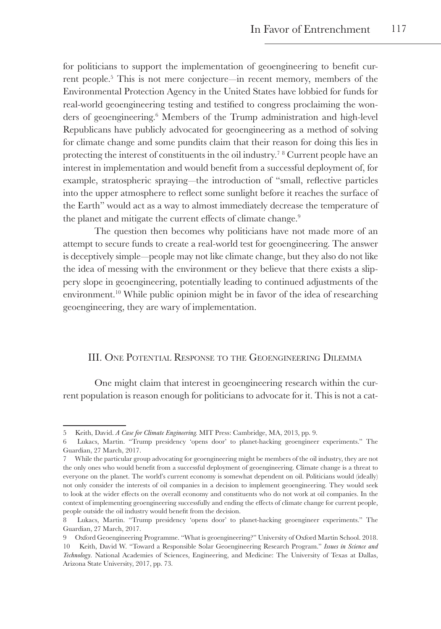for politicians to support the implementation of geoengineering to benefit current people.<sup>5</sup> This is not mere conjecture—in recent memory, members of the Environmental Protection Agency in the United States have lobbied for funds for real-world geoengineering testing and testified to congress proclaiming the wonders of geoengineering.<sup>6</sup> Members of the Trump administration and high-level Republicans have publicly advocated for geoengineering as a method of solving for climate change and some pundits claim that their reason for doing this lies in protecting the interest of constituents in the oil industry.<sup>7</sup> <sup>8</sup> Current people have an interest in implementation and would benefit from a successful deployment of, for example, stratospheric spraying—the introduction of "small, reflective particles into the upper atmosphere to reflect some sunlight before it reaches the surface of the Earth" would act as a way to almost immediately decrease the temperature of the planet and mitigate the current effects of climate change.<sup>9</sup>

The question then becomes why politicians have not made more of an attempt to secure funds to create a real-world test for geoengineering. The answer is deceptively simple—people may not like climate change, but they also do not like the idea of messing with the environment or they believe that there exists a slippery slope in geoengineering, potentially leading to continued adjustments of the environment.<sup>10</sup> While public opinion might be in favor of the idea of researching geoengineering, they are wary of implementation.

#### III. One Potential Response to the Geoengineering Dilemma

One might claim that interest in geoengineering research within the current population is reason enough for politicians to advocate for it. This is not a cat-

<sup>5</sup> Keith, David. *A Case for Climate Engineering.* MIT Press: Cambridge, MA, 2013, pp. 9.

<sup>6</sup> Lukacs, Martin. "Trump presidency 'opens door' to planet-hacking geoengineer experiments." The Guardian, 27 March, 2017.

<sup>7</sup> While the particular group advocating for geoengineering might be members of the oil industry, they are not the only ones who would benefit from a successful deployment of geoengineering. Climate change is a threat to everyone on the planet. The world's current economy is somewhat dependent on oil. Politicians would (ideally) not only consider the interests of oil companies in a decision to implement geoengineering. They would seek to look at the wider effects on the overall economy and constituents who do not work at oil companies. In the context of implementing geoengineering successfully and ending the effects of climate change for current people, people outside the oil industry would benefit from the decision.

<sup>8</sup> Lukacs, Martin. "Trump presidency 'opens door' to planet-hacking geoengineer experiments." The Guardian, 27 March, 2017.

<sup>9</sup> Oxford Geoengineering Programme. "What is geoengineering?" University of Oxford Martin School. 2018. 10 Keith, David W. "Toward a Responsible Solar Geoengineering Research Program." *Issues in Science and Technology*. National Academies of Sciences, Engineering, and Medicine: The University of Texas at Dallas, Arizona State University, 2017, pp. 73.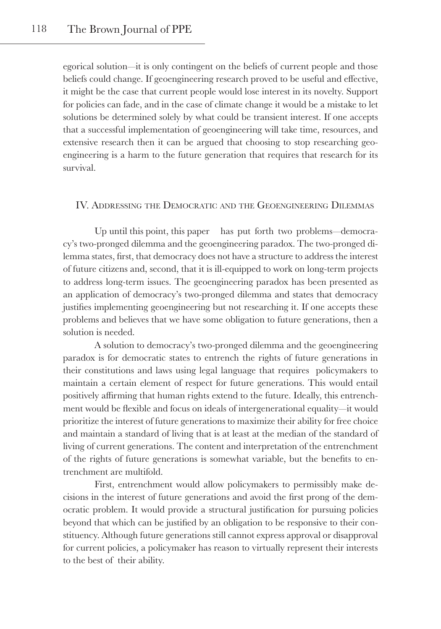egorical solution—it is only contingent on the beliefs of current people and those beliefs could change. If geoengineering research proved to be useful and effective, it might be the case that current people would lose interest in its novelty. Support for policies can fade, and in the case of climate change it would be a mistake to let solutions be determined solely by what could be transient interest. If one accepts that a successful implementation of geoengineering will take time, resources, and extensive research then it can be argued that choosing to stop researching geoengineering is a harm to the future generation that requires that research for its survival.

## IV. Addressing the Democratic and the Geoengineering Dilemmas

Up until this point, this paper has put forth two problems—democracy's two-pronged dilemma and the geoengineering paradox. The two-pronged dilemma states, first, that democracy does not have a structure to address the interest of future citizens and, second, that it is ill-equipped to work on long-term projects to address long-term issues. The geoengineering paradox has been presented as an application of democracy's two-pronged dilemma and states that democracy justifies implementing geoengineering but not researching it. If one accepts these problems and believes that we have some obligation to future generations, then a solution is needed.

A solution to democracy's two-pronged dilemma and the geoengineering paradox is for democratic states to entrench the rights of future generations in their constitutions and laws using legal language that requires policymakers to maintain a certain element of respect for future generations. This would entail positively affirming that human rights extend to the future. Ideally, this entrenchment would be flexible and focus on ideals of intergenerational equality—it would prioritize the interest of future generations to maximize their ability for free choice and maintain a standard of living that is at least at the median of the standard of living of current generations. The content and interpretation of the entrenchment of the rights of future generations is somewhat variable, but the benefits to entrenchment are multifold.

First, entrenchment would allow policymakers to permissibly make decisions in the interest of future generations and avoid the first prong of the democratic problem. It would provide a structural justification for pursuing policies beyond that which can be justified by an obligation to be responsive to their constituency. Although future generations still cannot express approval or disapproval for current policies, a policymaker has reason to virtually represent their interests to the best of their ability.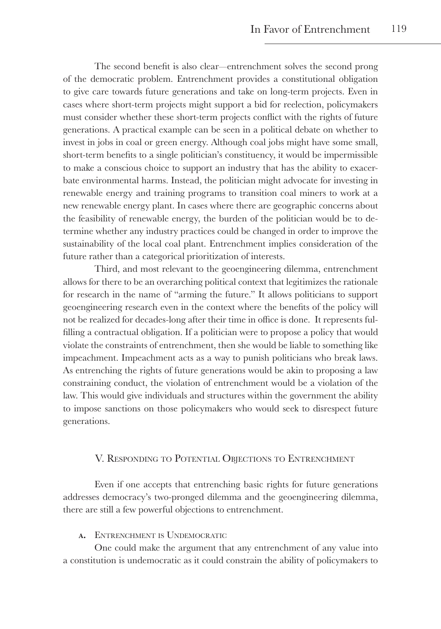The second benefit is also clear—entrenchment solves the second prong of the democratic problem. Entrenchment provides a constitutional obligation to give care towards future generations and take on long-term projects. Even in cases where short-term projects might support a bid for reelection, policymakers must consider whether these short-term projects conflict with the rights of future generations. A practical example can be seen in a political debate on whether to invest in jobs in coal or green energy. Although coal jobs might have some small, short-term benefits to a single politician's constituency, it would be impermissible to make a conscious choice to support an industry that has the ability to exacerbate environmental harms. Instead, the politician might advocate for investing in renewable energy and training programs to transition coal miners to work at a new renewable energy plant. In cases where there are geographic concerns about the feasibility of renewable energy, the burden of the politician would be to determine whether any industry practices could be changed in order to improve the sustainability of the local coal plant. Entrenchment implies consideration of the future rather than a categorical prioritization of interests.

Third, and most relevant to the geoengineering dilemma, entrenchment allows for there to be an overarching political context that legitimizes the rationale for research in the name of "arming the future." It allows politicians to support geoengineering research even in the context where the benefits of the policy will not be realized for decades-long after their time in office is done. It represents fulfilling a contractual obligation. If a politician were to propose a policy that would violate the constraints of entrenchment, then she would be liable to something like impeachment. Impeachment acts as a way to punish politicians who break laws. As entrenching the rights of future generations would be akin to proposing a law constraining conduct, the violation of entrenchment would be a violation of the law. This would give individuals and structures within the government the ability to impose sanctions on those policymakers who would seek to disrespect future generations.

## V. Responding to Potential Objections to Entrenchment

Even if one accepts that entrenching basic rights for future generations addresses democracy's two-pronged dilemma and the geoengineering dilemma, there are still a few powerful objections to entrenchment.

a. Entrenchment is Undemocratic

One could make the argument that any entrenchment of any value into a constitution is undemocratic as it could constrain the ability of policymakers to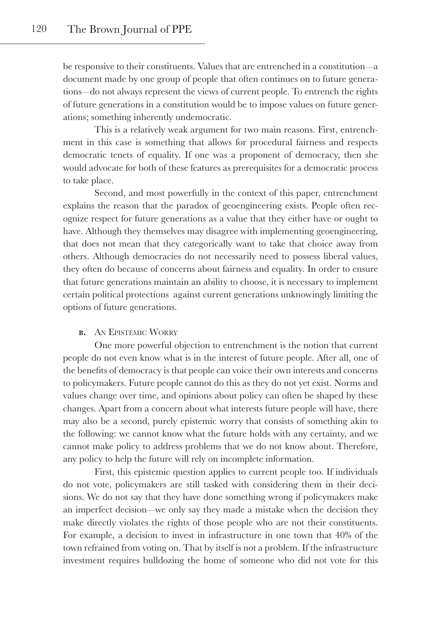be responsive to their constituents. Values that are entrenched in a constitution—a document made by one group of people that often continues on to future generations—do not always represent the views of current people. To entrench the rights of future generations in a constitution would be to impose values on future generations; something inherently undemocratic.

This is a relatively weak argument for two main reasons. First, entrenchment in this case is something that allows for procedural fairness and respects democratic tenets of equality. If one was a proponent of democracy, then she would advocate for both of these features as prerequisites for a democratic process to take place.

Second, and most powerfully in the context of this paper, entrenchment explains the reason that the paradox of geoengineering exists. People often recognize respect for future generations as a value that they either have or ought to have. Although they themselves may disagree with implementing geoengineering, that does not mean that they categorically want to take that choice away from others. Although democracies do not necessarily need to possess liberal values, they often do because of concerns about fairness and equality. In order to ensure that future generations maintain an ability to choose, it is necessary to implement certain political protections against current generations unknowingly limiting the options of future generations.

#### b. An Epistemic Worry

One more powerful objection to entrenchment is the notion that current people do not even know what is in the interest of future people. After all, one of the benefits of democracy is that people can voice their own interests and concerns to policymakers. Future people cannot do this as they do not yet exist. Norms and values change over time, and opinions about policy can often be shaped by these changes. Apart from a concern about what interests future people will have, there may also be a second, purely epistemic worry that consists of something akin to the following: we cannot know what the future holds with any certainty, and we cannot make policy to address problems that we do not know about. Therefore, any policy to help the future will rely on incomplete information.

First, this epistemic question applies to current people too. If individuals do not vote, policymakers are still tasked with considering them in their decisions. We do not say that they have done something wrong if policymakers make an imperfect decision—we only say they made a mistake when the decision they make directly violates the rights of those people who are not their constituents. For example, a decision to invest in infrastructure in one town that 40% of the town refrained from voting on. That by itself is not a problem. If the infrastructure investment requires bulldozing the home of someone who did not vote for this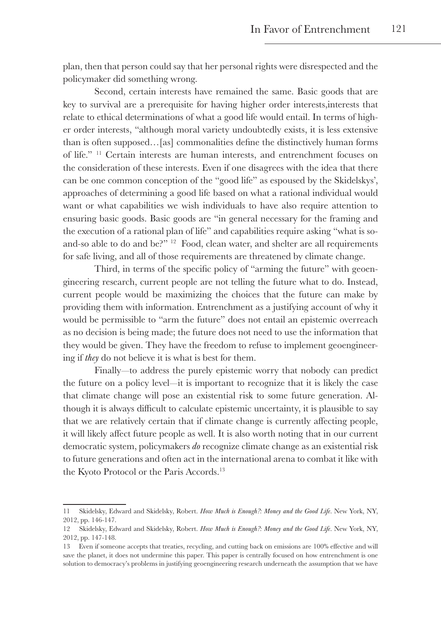plan, then that person could say that her personal rights were disrespected and the policymaker did something wrong.

Second, certain interests have remained the same. Basic goods that are key to survival are a prerequisite for having higher order interests,interests that relate to ethical determinations of what a good life would entail. In terms of higher order interests, "although moral variety undoubtedly exists, it is less extensive than is often supposed…[as] commonalities define the distinctively human forms of life." 11 Certain interests are human interests, and entrenchment focuses on the consideration of these interests. Even if one disagrees with the idea that there can be one common conception of the "good life" as espoused by the Skidelskys', approaches of determining a good life based on what a rational individual would want or what capabilities we wish individuals to have also require attention to ensuring basic goods. Basic goods are "in general necessary for the framing and the execution of a rational plan of life" and capabilities require asking "what is soand-so able to do and be?"<sup>12</sup> Food, clean water, and shelter are all requirements for safe living, and all of those requirements are threatened by climate change.

Third, in terms of the specific policy of "arming the future" with geoengineering research, current people are not telling the future what to do. Instead, current people would be maximizing the choices that the future can make by providing them with information. Entrenchment as a justifying account of why it would be permissible to "arm the future" does not entail an epistemic overreach as no decision is being made; the future does not need to use the information that they would be given. They have the freedom to refuse to implement geoengineering if *they* do not believe it is what is best for them.

Finally—to address the purely epistemic worry that nobody can predict the future on a policy level—it is important to recognize that it is likely the case that climate change will pose an existential risk to some future generation. Although it is always difficult to calculate epistemic uncertainty, it is plausible to say that we are relatively certain that if climate change is currently affecting people, it will likely affect future people as well. It is also worth noting that in our current democratic system, policymakers *do* recognize climate change as an existential risk to future generations and often act in the international arena to combat it like with the Kyoto Protocol or the Paris Accords.<sup>13</sup>

<sup>11</sup> Skidelsky, Edward and Skidelsky, Robert. *How Much is Enough?: Money and the Good Life*. New York, NY, 2012, pp. 146-147.

<sup>12</sup> Skidelsky, Edward and Skidelsky, Robert. *How Much is Enough?: Money and the Good Life*. New York, NY, 2012, pp. 147-148.

<sup>13</sup> Even if someone accepts that treaties, recycling, and cutting back on emissions are 100% effective and will save the planet, it does not undermine this paper. This paper is centrally focused on how entrenchment is one solution to democracy's problems in justifying geoengineering research underneath the assumption that we have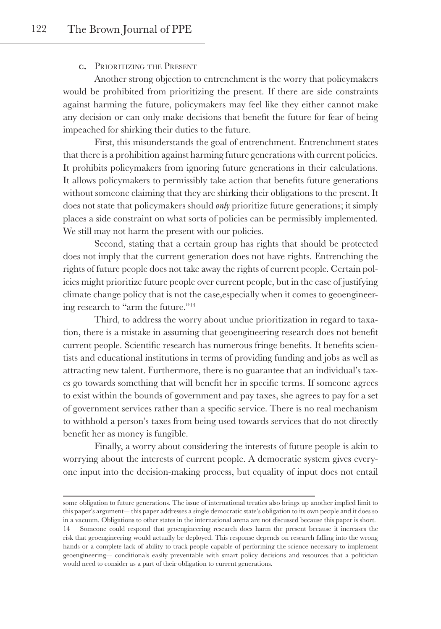#### c. Prioritizing the Present

Another strong objection to entrenchment is the worry that policymakers would be prohibited from prioritizing the present. If there are side constraints against harming the future, policymakers may feel like they either cannot make any decision or can only make decisions that benefit the future for fear of being impeached for shirking their duties to the future.

First, this misunderstands the goal of entrenchment. Entrenchment states that there is a prohibition against harming future generations with current policies. It prohibits policymakers from ignoring future generations in their calculations. It allows policymakers to permissibly take action that benefits future generations without someone claiming that they are shirking their obligations to the present. It does not state that policymakers should *only* prioritize future generations; it simply places a side constraint on what sorts of policies can be permissibly implemented. We still may not harm the present with our policies.

Second, stating that a certain group has rights that should be protected does not imply that the current generation does not have rights. Entrenching the rights of future people does not take away the rights of current people. Certain policies might prioritize future people over current people, but in the case of justifying climate change policy that is not the case,especially when it comes to geoengineering research to "arm the future."<sup>14</sup>

Third, to address the worry about undue prioritization in regard to taxation, there is a mistake in assuming that geoengineering research does not benefit current people. Scientific research has numerous fringe benefits. It benefits scientists and educational institutions in terms of providing funding and jobs as well as attracting new talent. Furthermore, there is no guarantee that an individual's taxes go towards something that will benefit her in specific terms. If someone agrees to exist within the bounds of government and pay taxes, she agrees to pay for a set of government services rather than a specific service. There is no real mechanism to withhold a person's taxes from being used towards services that do not directly benefit her as money is fungible.

Finally, a worry about considering the interests of future people is akin to worrying about the interests of current people. A democratic system gives everyone input into the decision-making process, but equality of input does not entail

some obligation to future generations. The issue of international treaties also brings up another implied limit to this paper's argument— this paper addresses a single democratic state's obligation to its own people and it does so in a vacuum. Obligations to other states in the international arena are not discussed because this paper is short. 14 Someone could respond that geoengineering research does harm the present because it increases the risk that geoengineering would actually be deployed. This response depends on research falling into the wrong hands or a complete lack of ability to track people capable of performing the science necessary to implement geoengineering— conditionals easily preventable with smart policy decisions and resources that a politician would need to consider as a part of their obligation to current generations.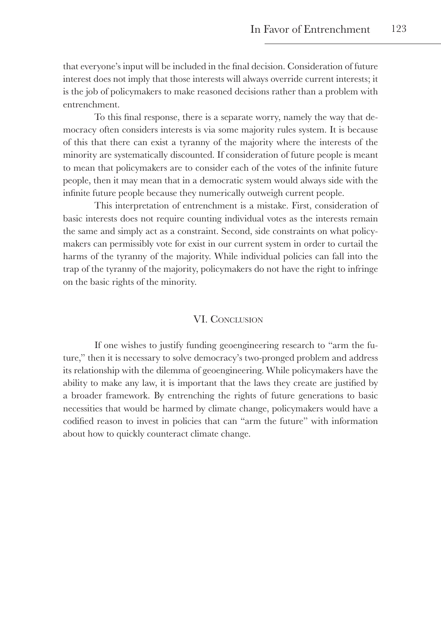that everyone's input will be included in the final decision. Consideration of future interest does not imply that those interests will always override current interests; it is the job of policymakers to make reasoned decisions rather than a problem with entrenchment.

To this final response, there is a separate worry, namely the way that democracy often considers interests is via some majority rules system. It is because of this that there can exist a tyranny of the majority where the interests of the minority are systematically discounted. If consideration of future people is meant to mean that policymakers are to consider each of the votes of the infinite future people, then it may mean that in a democratic system would always side with the infinite future people because they numerically outweigh current people.

This interpretation of entrenchment is a mistake. First, consideration of basic interests does not require counting individual votes as the interests remain the same and simply act as a constraint. Second, side constraints on what policymakers can permissibly vote for exist in our current system in order to curtail the harms of the tyranny of the majority. While individual policies can fall into the trap of the tyranny of the majority, policymakers do not have the right to infringe on the basic rights of the minority.

## VI. CONCLUSION

If one wishes to justify funding geoengineering research to "arm the future," then it is necessary to solve democracy's two-pronged problem and address its relationship with the dilemma of geoengineering. While policymakers have the ability to make any law, it is important that the laws they create are justified by a broader framework. By entrenching the rights of future generations to basic necessities that would be harmed by climate change, policymakers would have a codified reason to invest in policies that can "arm the future" with information about how to quickly counteract climate change.